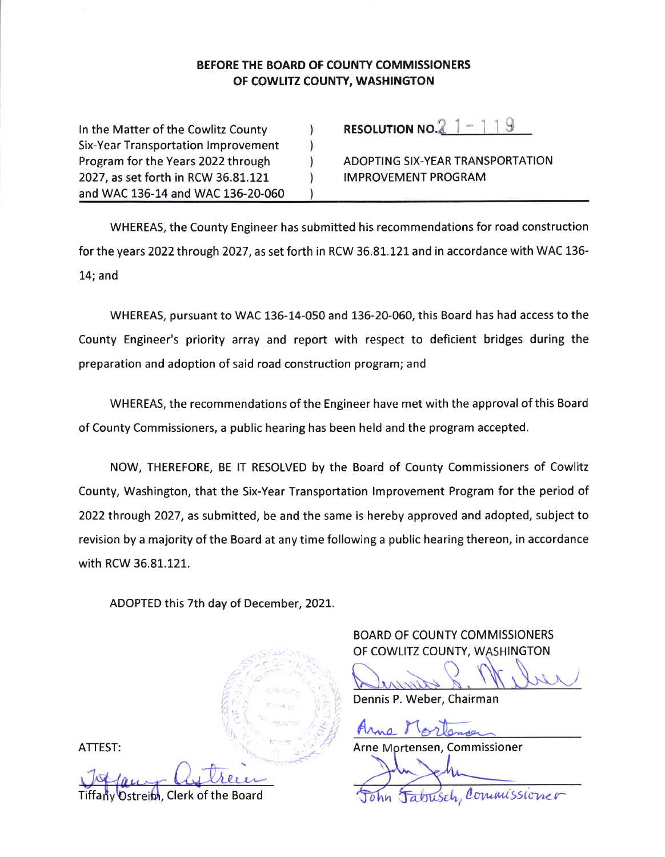#### BEFORE THE BOARD OF COUNTY COMMISSIONERS OF COWLITZ COUNTY, WASHINGTON

In the Matter of the Cowlitz County **Six-Year Transportation Improvement** Program for the Years 2022 through 2027, as set forth in RCW 36.81.121 and WAC 136-14 and WAC 136-20-060 RESOLUTION NO. $2$  1 - 1 1 9

ADOPTING SIX-YEAR TRANSPORTATION **IMPROVEMENT PROGRAM** 

WHEREAS, the County Engineer has submitted his recommendations for road construction for the years 2022 through 2027, as set forth in RCW 36.81.121 and in accordance with WAC 136- $14;$  and

WHEREAS, pursuant to WAC 136-14-050 and 136-20-060, this Board has had access to the County Engineer's priority array and report with respect to deficient bridges during the preparation and adoption of said road construction program; and

WHEREAS, the recommendations of the Engineer have met with the approval of this Board of County Commissioners, a public hearing has been held and the program accepted.

NOW, THEREFORE, BE IT RESOLVED by the Board of County Commissioners of Cowlitz County, Washington, that the Six-Year Transportation Improvement Program for the period of 2022 through 2027, as submitted, be and the same is hereby approved and adopted, subject to revision by a majority of the Board at any time following a public hearing thereon, in accordance with RCW 36.81.121.

ADOPTED this 7th day of December, 2021.

**BOARD OF COUNTY COMMISSIONERS** OF COWLITZ COUNTY, WASHINGTON

Dennis P. Weber, Chairman

Arne Mortensen, Commissioner

atrisch, Commissioner

ATTEST:

Ostrein, Clerk of the Board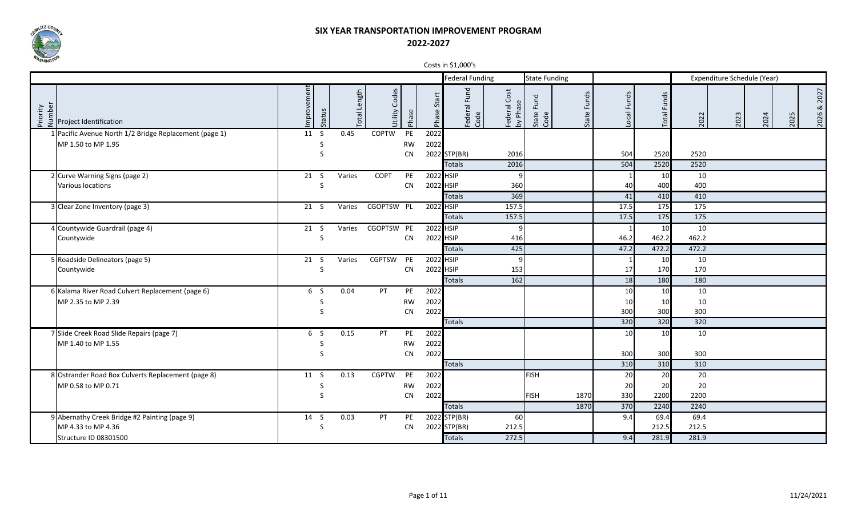

|                                                                                                                                                       |                |        |                     |                  |           |                | $\frac{1}{2}$ $\frac{1}{2}$ $\frac{1}{2}$ $\frac{1}{2}$ $\frac{1}{2}$ $\frac{1}{2}$ $\frac{1}{2}$ $\frac{1}{2}$ $\frac{1}{2}$ $\frac{1}{2}$ |                          |                       |                |            |                 |       |                             |      |      |                |
|-------------------------------------------------------------------------------------------------------------------------------------------------------|----------------|--------|---------------------|------------------|-----------|----------------|---------------------------------------------------------------------------------------------------------------------------------------------|--------------------------|-----------------------|----------------|------------|-----------------|-------|-----------------------------|------|------|----------------|
|                                                                                                                                                       |                |        |                     |                  |           |                | <b>Federal Funding</b>                                                                                                                      |                          | <b>State Funding</b>  |                |            |                 |       | Expenditure Schedule (Year) |      |      |                |
| $\begin{array}{c}\n\sum_{i=1}^{n} \sum_{i=1}^{n} \frac{1}{2} \\ \sum_{i=1}^{n} \sum_{i=1}^{n} \frac{1}{2} \text{Project Identification}\n\end{array}$ | mprovement     | Status | <b>Total Length</b> | Codes<br>Jtility | Phase     | Start<br>Phase | Federal Fund<br>Code                                                                                                                        | Federal Cost<br>by Phase | Fund<br>State<br>Code | Funds<br>State | ocal Funds | Funds<br>Total  | 2022  | 2023                        | 2024 | 2025 | 2027<br>2026 & |
| 1 Pacific Avenue North 1/2 Bridge Replacement (page 1)                                                                                                | 11S            |        | 0.45                | <b>COPTW</b>     | PE        | 2022           |                                                                                                                                             |                          |                       |                |            |                 |       |                             |      |      |                |
| MP 1.50 to MP 1.95                                                                                                                                    |                | S      |                     |                  | <b>RW</b> | 2022           |                                                                                                                                             |                          |                       |                |            |                 |       |                             |      |      |                |
|                                                                                                                                                       |                | S      |                     |                  | <b>CN</b> |                | 2022 STP(BR)                                                                                                                                | 2016                     |                       |                | 504        | 2520            | 2520  |                             |      |      |                |
|                                                                                                                                                       |                |        |                     |                  |           |                | <b>Totals</b>                                                                                                                               | 2016                     |                       |                | 504        | 2520            | 2520  |                             |      |      |                |
| 2 Curve Warning Signs (page 2)                                                                                                                        | 21 S           |        | Varies              | <b>COPT</b>      | PE        |                | 2022 HSIP                                                                                                                                   | q                        |                       |                |            | 10              | 10    |                             |      |      |                |
| Various locations                                                                                                                                     |                | S      |                     |                  | <b>CN</b> |                | 2022 HSIP                                                                                                                                   | 360                      |                       |                | 40         | 400             | 400   |                             |      |      |                |
|                                                                                                                                                       |                |        |                     |                  |           |                | <b>Totals</b>                                                                                                                               | 369                      |                       |                | 41         | 410             | 410   |                             |      |      |                |
| 3 Clear Zone Inventory (page 3)                                                                                                                       | 21 S           |        | Varies              | CGOPTSW PL       |           |                | 2022 HSIP                                                                                                                                   | 157.5                    |                       |                | 17.5       | 175             | 175   |                             |      |      |                |
|                                                                                                                                                       |                |        |                     |                  |           |                | <b>Totals</b>                                                                                                                               | 157.5                    |                       |                | 17.5       | 175             | 175   |                             |      |      |                |
| 4 Countywide Guardrail (page 4)                                                                                                                       | 21 S           |        | Varies              | CGOPTSW PE       |           |                | 2022 HSIP                                                                                                                                   | q                        |                       |                |            | 10              | 10    |                             |      |      |                |
| Countywide                                                                                                                                            |                | S      |                     |                  | CN        |                | 2022 HSIP                                                                                                                                   | 416                      |                       |                | 46.2       | 462.2           | 462.2 |                             |      |      |                |
|                                                                                                                                                       |                |        |                     |                  |           |                | <b>Totals</b>                                                                                                                               | 425                      |                       |                | 47.2       | 472.2           | 472.2 |                             |      |      |                |
| 5 Roadside Delineators (page 5)                                                                                                                       | 21 S           |        | Varies              | CGPTSW PE        |           |                | 2022 HSIP                                                                                                                                   | q                        |                       |                |            | 10              | 10    |                             |      |      |                |
| Countywide                                                                                                                                            |                | S      |                     |                  | <b>CN</b> |                | 2022 HSIP                                                                                                                                   | 153                      |                       |                | 17         | 170             | 170   |                             |      |      |                |
|                                                                                                                                                       |                |        |                     |                  |           |                | <b>Totals</b>                                                                                                                               | 162                      |                       |                | 18         | 180             | 180   |                             |      |      |                |
| 6 Kalama River Road Culvert Replacement (page 6)                                                                                                      | 6 <sub>5</sub> |        | 0.04                | PT               | PE        | 2022           |                                                                                                                                             |                          |                       |                | 10         | 10              | 10    |                             |      |      |                |
| MP 2.35 to MP 2.39                                                                                                                                    |                | S      |                     |                  | <b>RW</b> | 2022           |                                                                                                                                             |                          |                       |                | 10         | 10 <sup>1</sup> | 10    |                             |      |      |                |
|                                                                                                                                                       |                | S      |                     |                  | <b>CN</b> | 2022           |                                                                                                                                             |                          |                       |                | 300        | 300             | 300   |                             |      |      |                |
|                                                                                                                                                       |                |        |                     |                  |           |                | <b>Totals</b>                                                                                                                               |                          |                       |                | 320        | 320             | 320   |                             |      |      |                |
| 7 Slide Creek Road Slide Repairs (page 7)                                                                                                             | 6 S            |        | 0.15                | PT               | PE        | 2022           |                                                                                                                                             |                          |                       |                | 10         | 10              | 10    |                             |      |      |                |
| MP 1.40 to MP 1.55                                                                                                                                    |                | S      |                     |                  | <b>RW</b> | 2022           |                                                                                                                                             |                          |                       |                |            |                 |       |                             |      |      |                |
|                                                                                                                                                       |                | S      |                     |                  | <b>CN</b> | 2022           |                                                                                                                                             |                          |                       |                | 300        | 300             | 300   |                             |      |      |                |
|                                                                                                                                                       |                |        |                     |                  |           |                | <b>Totals</b>                                                                                                                               |                          |                       |                | 310        | 310             | 310   |                             |      |      |                |
| 8 Ostrander Road Box Culverts Replacement (page 8)                                                                                                    | 11 S           |        | 0.13                | <b>CGPTW</b>     | PE        | 2022           |                                                                                                                                             |                          | <b>FISH</b>           |                | 20         | <b>20</b>       | 20    |                             |      |      |                |
| MP 0.58 to MP 0.71                                                                                                                                    |                | S      |                     |                  | <b>RW</b> | 2022           |                                                                                                                                             |                          |                       |                | 20         | 20              | 20    |                             |      |      |                |
|                                                                                                                                                       |                | S      |                     |                  | <b>CN</b> | 2022           |                                                                                                                                             |                          | <b>FISH</b>           | 1870           | 330        | 2200            | 2200  |                             |      |      |                |
|                                                                                                                                                       |                |        |                     |                  |           |                | <b>Totals</b>                                                                                                                               |                          |                       | 1870           | 370        | 2240            | 2240  |                             |      |      |                |
| 9 Abernathy Creek Bridge #2 Painting (page 9)                                                                                                         | 14 S           |        | 0.03                | PT               | PE        |                | 2022 STP(BR)                                                                                                                                | <b>60</b>                |                       |                | 9.4        | 69.4            | 69.4  |                             |      |      |                |
| MP 4.33 to MP 4.36                                                                                                                                    |                | S      |                     |                  | <b>CN</b> |                | 2022 STP(BR)                                                                                                                                | 212.5                    |                       |                |            | 212.5           | 212.5 |                             |      |      |                |
| Structure ID 08301500                                                                                                                                 |                |        |                     |                  |           |                | <b>Totals</b>                                                                                                                               | 272.5                    |                       |                | 9.4        | 281.9           | 281.9 |                             |      |      |                |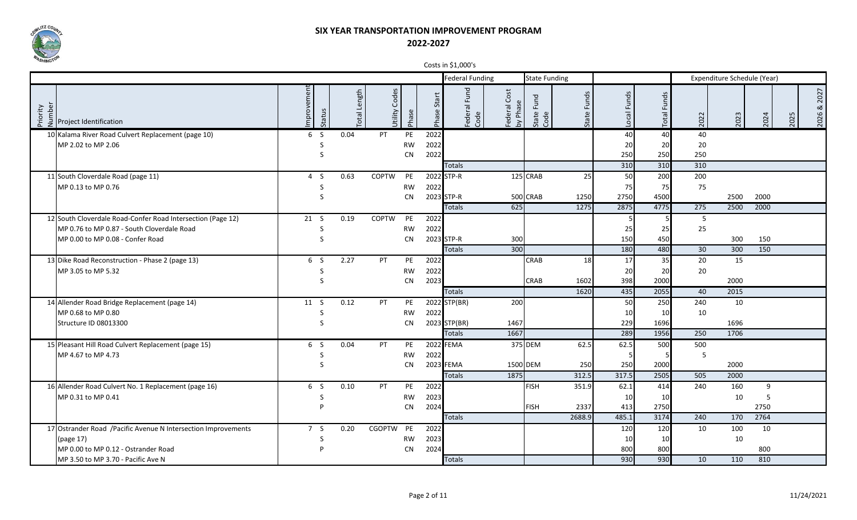

|                                                                                                         |                      |                |                  |           |                  | COSCS III PL, OOD S    |                            |                       |                |                |                    |      |                             |      |      |                |
|---------------------------------------------------------------------------------------------------------|----------------------|----------------|------------------|-----------|------------------|------------------------|----------------------------|-----------------------|----------------|----------------|--------------------|------|-----------------------------|------|------|----------------|
|                                                                                                         |                      |                |                  |           |                  | <b>Federal Funding</b> |                            | <b>State Funding</b>  |                |                |                    |      | Expenditure Schedule (Year) |      |      |                |
| $\begin{bmatrix} 2 & 2 & 1 \\ 2 & 2 & 1 \\ 2 & 3 & 2 \\ 3 & 4 & 5 \end{bmatrix}$ Project Identification | mprovement<br>Status | Length<br>otal | Codes<br>Utility | Phase     | Start<br>Phase ! | Federal Fund<br>Code   | Cost<br>Federal<br>by Phas | Fund<br>State<br>Code | Funds<br>State | Local Funds    | <b>Total Funds</b> | 2022 | 2023                        | 2024 | 2025 | 2027<br>2026 & |
| 10 Kalama River Road Culvert Replacement (page 10)                                                      | 6 <sub>5</sub>       | 0.04           | <b>PT</b>        | PE        | 2022             |                        |                            |                       |                | 40             | 40                 | 40   |                             |      |      |                |
| MP 2.02 to MP 2.06                                                                                      | S                    |                |                  | <b>RW</b> | 2022             |                        |                            |                       |                | 20             | 20                 | 20   |                             |      |      |                |
|                                                                                                         | S                    |                |                  | <b>CN</b> | 2022             |                        |                            |                       |                | 250            | 250                | 250  |                             |      |      |                |
|                                                                                                         |                      |                |                  |           |                  | <b>Totals</b>          |                            |                       |                | 310            | 310                | 310  |                             |      |      |                |
| 11 South Cloverdale Road (page 11)                                                                      | 4S                   | 0.63           | <b>COPTW</b>     | PE        |                  | 2022 STP-R             |                            | 125 CRAB              | 25             | 50             | 200                | 200  |                             |      |      |                |
| MP 0.13 to MP 0.76                                                                                      | S                    |                |                  | <b>RW</b> | 2022             |                        |                            |                       |                | 75             | 75                 | 75   |                             |      |      |                |
|                                                                                                         | S                    |                |                  | <b>CN</b> |                  | 2023 STP-R             |                            | 500 CRAB              | 1250           | 2750           | 4500               |      | 2500                        | 2000 |      |                |
|                                                                                                         |                      |                |                  |           |                  | <b>Totals</b>          | 625                        |                       | 1275           | 2875           | 4775               | 275  | 2500                        | 2000 |      |                |
| 12 South Cloverdale Road-Confer Road Intersection (Page 12)                                             | 21 S                 | 0.19           | <b>COPTW</b>     | PE        | 2022             |                        |                            |                       |                | 5 <sub>l</sub> |                    | 5    |                             |      |      |                |
| MP 0.76 to MP 0.87 - South Cloverdale Road                                                              | S                    |                |                  | <b>RW</b> | 2022             |                        |                            |                       |                | 25             | 25                 | 25   |                             |      |      |                |
| MP 0.00 to MP 0.08 - Confer Road                                                                        | S                    |                |                  | <b>CN</b> |                  | 2023 STP-R             | 300                        |                       |                | 150            | 450                |      | 300                         | 150  |      |                |
|                                                                                                         |                      |                |                  |           |                  | <b>Totals</b>          | 300                        |                       |                | 180            | 480                | 30   | 300                         | 150  |      |                |
| 13 Dike Road Reconstruction - Phase 2 (page 13)                                                         | 6 S                  | 2.27           | <b>PT</b>        | PE        | 2022             |                        |                            | CRAB                  | 18             | 17             | 35                 | 20   | 15                          |      |      |                |
| MP 3.05 to MP 5.32                                                                                      | S                    |                |                  | <b>RW</b> | 2022             |                        |                            |                       |                | 20             | 20                 | 20   |                             |      |      |                |
|                                                                                                         | S                    |                |                  | CN        | 2023             |                        |                            | <b>CRAB</b>           | 1602           | 398            | 2000               |      | 2000                        |      |      |                |
|                                                                                                         |                      |                |                  |           |                  | <b>Totals</b>          |                            |                       | 1620           | 435            | 2055               | 40   | 2015                        |      |      |                |
| 14 Allender Road Bridge Replacement (page 14)                                                           | 11 S                 | 0.12           | PT               | PE        |                  | 2022 STP(BR)           | 200                        |                       |                | 50             | 250                | 240  | 10                          |      |      |                |
| MP 0.68 to MP 0.80                                                                                      | S                    |                |                  | <b>RW</b> | 2022             |                        |                            |                       |                | 10             | 10                 | 10   |                             |      |      |                |
| Structure ID 08013300                                                                                   | S                    |                |                  | <b>CN</b> |                  | 2023 STP(BR)           | 1467                       |                       |                | 229            | 1696               |      | 1696                        |      |      |                |
|                                                                                                         |                      |                |                  |           |                  | <b>Totals</b>          | 1667                       |                       |                | 289            | 1956               | 250  | 1706                        |      |      |                |
| 15 Pleasant Hill Road Culvert Replacement (page 15)                                                     | 6 S                  | 0.04           | <b>PT</b>        | PE        |                  | 2022 FEMA              |                            | 375 DEM               | 62.5           | 62.5           | 500                | 500  |                             |      |      |                |
| MP 4.67 to MP 4.73                                                                                      | S                    |                |                  | <b>RW</b> | 2022             |                        |                            |                       |                | $\overline{5}$ |                    | 5    |                             |      |      |                |
|                                                                                                         | S                    |                |                  | <b>CN</b> |                  | 2023 FEMA              | 1500 DEM                   |                       | 250            | 250            | 2000               |      | 2000                        |      |      |                |
|                                                                                                         |                      |                |                  |           |                  | <b>Totals</b>          | 1875                       |                       | 312.5          | 317.5          | 2505               | 505  | 2000                        |      |      |                |
| 16 Allender Road Culvert No. 1 Replacement (page 16)                                                    | 6 <sub>5</sub>       | 0.10           | <b>PT</b>        | PE        | 2022             |                        |                            | <b>FISH</b>           | 351.9          | 62.1           | 414                | 240  | 160                         | 9    |      |                |
| MP 0.31 to MP 0.41                                                                                      | S                    |                |                  | <b>RW</b> | 2023             |                        |                            |                       |                | 10             | 10                 |      | 10                          | 5    |      |                |
|                                                                                                         | p                    |                |                  | CN        | 2024             |                        |                            | <b>FISH</b>           | 2337           | 413            | 2750               |      |                             | 2750 |      |                |
|                                                                                                         |                      |                |                  |           |                  | <b>Totals</b>          |                            |                       | 2688.9         | 485.1          | 3174               | 240  | 170                         | 2764 |      |                |
| 17 Ostrander Road / Pacific Avenue N Intersection Improvements                                          | 7S                   | 0.20           | CGOPTW PE        |           | 2022             |                        |                            |                       |                | 120            | 120                | 10   | 100                         | 10   |      |                |
| (page 17)                                                                                               | S                    |                |                  | <b>RW</b> | 2023             |                        |                            |                       |                | 10             | 10                 |      | 10                          |      |      |                |
| MP 0.00 to MP 0.12 - Ostrander Road                                                                     | D                    |                |                  | <b>CN</b> | 2024             |                        |                            |                       |                | 800            | 800                |      |                             | 800  |      |                |
| MP 3.50 to MP 3.70 - Pacific Ave N                                                                      |                      |                |                  |           |                  | <b>Totals</b>          |                            |                       |                | 930            | 930                | 10   | 110                         | 810  |      |                |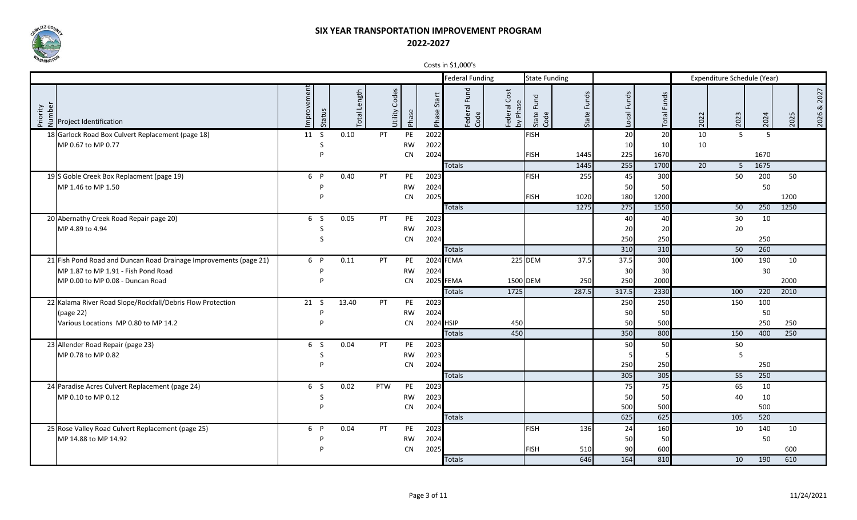

|                                                                                                         |                      |                        |                  |           |                 | COSCS III PL, OOD S    |                                     |                       |                |                |             |                 |                             |      |      |                |
|---------------------------------------------------------------------------------------------------------|----------------------|------------------------|------------------|-----------|-----------------|------------------------|-------------------------------------|-----------------------|----------------|----------------|-------------|-----------------|-----------------------------|------|------|----------------|
|                                                                                                         |                      |                        |                  |           |                 | <b>Federal Funding</b> |                                     | <b>State Funding</b>  |                |                |             |                 | Expenditure Schedule (Year) |      |      |                |
| $\begin{bmatrix} 2 & 2 & 1 \\ 2 & 2 & 1 \\ 2 & 3 & 2 \\ 3 & 4 & 5 \end{bmatrix}$ Project Identification | mprovement<br>Status | Length<br><b>Total</b> | Codes<br>Utility | Phase     | Start<br>Phase: | Federal Fund<br>Code   | Cost<br>Federal<br>Phas<br>$\delta$ | Fund<br>State<br>Code | Funds<br>State | Local Funds    | Total Funds | 2022            | 2023                        | 2024 | 2025 | 2027<br>2026 & |
| 18 Garlock Road Box Culvert Replacement (page 18)                                                       | 11 S                 | 0.10                   | <b>PT</b>        | PE        | 2022            |                        |                                     | <b>FISH</b>           |                | 20             | 20          | 10              | $\overline{5}$              | 5    |      |                |
| MP 0.67 to MP 0.77                                                                                      | S                    |                        |                  | <b>RW</b> | 2022            |                        |                                     |                       |                | 10             | 10          | 10              |                             |      |      |                |
|                                                                                                         | P                    |                        |                  | CN        | 2024            |                        |                                     | <b>FISH</b>           | 1445           | 225            | 1670        |                 |                             | 1670 |      |                |
|                                                                                                         |                      |                        |                  |           |                 | <b>Totals</b>          |                                     |                       | 1445           | 255            | 1700        | $\overline{20}$ | -5                          | 1675 |      |                |
| 19 S Goble Creek Box Replacment (page 19)                                                               | 6 P                  | 0.40                   | PT               | PE        | 2023            |                        |                                     | <b>FISH</b>           | 255            | 45             | 300         |                 | 50                          | 200  | 50   |                |
| MP 1.46 to MP 1.50                                                                                      |                      |                        |                  | <b>RW</b> | 2024            |                        |                                     |                       |                | 50             | 50          |                 |                             | 50   |      |                |
|                                                                                                         | D                    |                        |                  | CN        | 2025            |                        |                                     | <b>FISH</b>           | 1020           | 180            | 1200        |                 |                             |      | 1200 |                |
|                                                                                                         |                      |                        |                  |           |                 | <b>Totals</b>          |                                     |                       | 1275           | 275            | 1550        |                 | 50                          | 250  | 1250 |                |
| 20 Abernathy Creek Road Repair page 20)                                                                 | 6 S                  | 0.05                   | <b>PT</b>        | PE        | 2023            |                        |                                     |                       |                | 40             | 40          |                 | 30                          | 10   |      |                |
| MP 4.89 to 4.94                                                                                         | S                    |                        |                  | <b>RW</b> | 2023            |                        |                                     |                       |                | 20             | 20          |                 | 20                          |      |      |                |
|                                                                                                         | S                    |                        |                  | <b>CN</b> | 2024            |                        |                                     |                       |                | 250            | 250         |                 |                             | 250  |      |                |
|                                                                                                         |                      |                        |                  |           |                 | <b>Totals</b>          |                                     |                       |                | 310            | 310         |                 | 50                          | 260  |      |                |
| 21 Fish Pond Road and Duncan Road Drainage Improvements (page 21)                                       | 6 P                  | 0.11                   | <b>PT</b>        | PE        |                 | 2024 FEMA              |                                     | 225 DEM               | 37.5           | 37.5           | 300         |                 | 100                         | 190  | 10   |                |
| MP 1.87 to MP 1.91 - Fish Pond Road                                                                     | P                    |                        |                  | <b>RW</b> | 2024            |                        |                                     |                       |                | 30             | 30          |                 |                             | 30   |      |                |
| MP 0.00 to MP 0.08 - Duncan Road                                                                        | D                    |                        |                  | <b>CN</b> |                 | 2025 FEMA              | 1500 DEM                            |                       | 250            | 250            | 2000        |                 |                             |      | 2000 |                |
|                                                                                                         |                      |                        |                  |           |                 | <b>Totals</b>          | 1725                                |                       | 287.5          | 317.5          | 2330        |                 | 100                         | 220  | 2010 |                |
| 22 Kalama River Road Slope/Rockfall/Debris Flow Protection                                              | 21 S                 | 13.40                  | PT               | PE        | 2023            |                        |                                     |                       |                | 250            | 250         |                 | 150                         | 100  |      |                |
| (page 22)                                                                                               |                      |                        |                  | <b>RW</b> | 2024            |                        |                                     |                       |                | 50             | 50          |                 |                             | 50   |      |                |
| Various Locations MP 0.80 to MP 14.2                                                                    |                      |                        |                  | <b>CN</b> |                 | 2024 HSIP              | 450                                 |                       |                | 50             | 500         |                 |                             | 250  | 250  |                |
|                                                                                                         |                      |                        |                  |           |                 | <b>Totals</b>          | 450                                 |                       |                | 350            | 800         |                 | 150                         | 400  | 250  |                |
| 23 Allender Road Repair (page 23)                                                                       | 6 S                  | 0.04                   | <b>PT</b>        | PE        | 2023            |                        |                                     |                       |                | 50             | 50          |                 | 50                          |      |      |                |
| MP 0.78 to MP 0.82                                                                                      | S                    |                        |                  | <b>RW</b> | 2023            |                        |                                     |                       |                | 5 <sub>l</sub> |             |                 | 5                           |      |      |                |
|                                                                                                         | Þ                    |                        |                  | CN        | 2024            |                        |                                     |                       |                | 250            | 250         |                 |                             | 250  |      |                |
|                                                                                                         |                      |                        |                  |           |                 | <b>Totals</b>          |                                     |                       |                | 305            | 305         |                 | 55                          | 250  |      |                |
| 24 Paradise Acres Culvert Replacement (page 24)                                                         | 6 S                  | 0.02                   | PTW              | PE        | 2023            |                        |                                     |                       |                | 75             | 75          |                 | 65                          | 10   |      |                |
| MP 0.10 to MP 0.12                                                                                      | S                    |                        |                  | <b>RW</b> | 2023            |                        |                                     |                       |                | 50             | 50          |                 | 40                          | 10   |      |                |
|                                                                                                         | P                    |                        |                  | <b>CN</b> | 2024            |                        |                                     |                       |                | 500            | 500         |                 |                             | 500  |      |                |
|                                                                                                         |                      |                        |                  |           |                 | <b>Totals</b>          |                                     |                       |                | 625            | 625         |                 | 105                         | 520  |      |                |
| 25 Rose Valley Road Culvert Replacement (page 25)                                                       | 6<br>$\mathsf{P}$    | 0.04                   | <b>PT</b>        | PE        | 2023            |                        |                                     | <b>FISH</b>           | 136            | 24             | 160         |                 | 10                          | 140  | 10   |                |
| MP 14.88 to MP 14.92                                                                                    |                      |                        |                  | <b>RW</b> | 2024            |                        |                                     |                       |                | 50             | 50          |                 |                             | 50   |      |                |
|                                                                                                         |                      |                        |                  | <b>CN</b> | 2025            |                        |                                     | <b>FISH</b>           | 510            | 90             | 600         |                 |                             |      | 600  |                |
|                                                                                                         |                      |                        |                  |           |                 | <b>Totals</b>          |                                     |                       | 646            | 164            | 810         |                 | 10                          | 190  | 610  |                |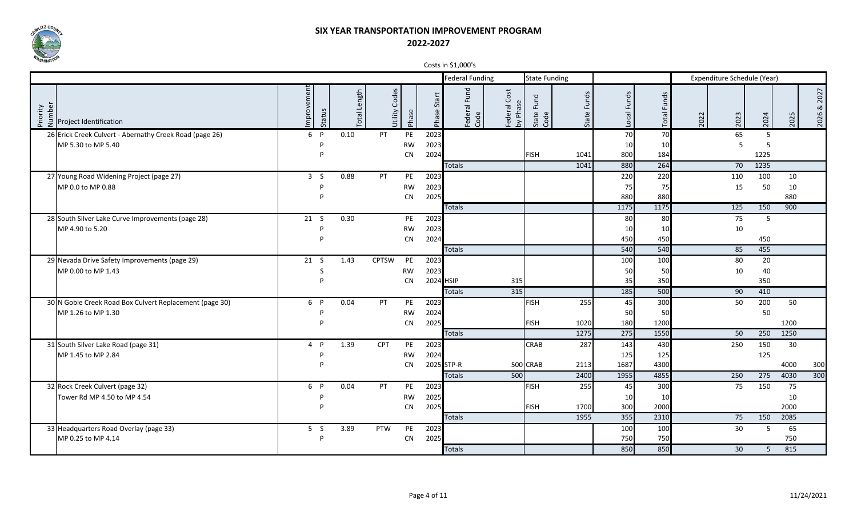

|                                                                                            |            |        |                       |                  |           |                | COSIS III PLIUDU S        |                                                      |                       |                |               |                             |                             |      |            |      |                |
|--------------------------------------------------------------------------------------------|------------|--------|-----------------------|------------------|-----------|----------------|---------------------------|------------------------------------------------------|-----------------------|----------------|---------------|-----------------------------|-----------------------------|------|------------|------|----------------|
|                                                                                            |            |        |                       |                  |           |                | <b>Federal Funding</b>    |                                                      | <b>State Funding</b>  |                |               |                             | Expenditure Schedule (Year) |      |            |      |                |
| $\begin{bmatrix} 2 & 2 & 1 \\ 2 & 2 & 1 \\ 2 & 3 & 2 \end{bmatrix}$ Project Identification | mprovement | Status | Length<br><b>lepo</b> | Codes<br>Utility | Phase     | Start<br>Phase | Fund<br>Federal I<br>Code | Cost<br>Šp<br>ederal<br>훈<br>$\overline{\mathbf{z}}$ | Fund<br>State<br>Code | Funds<br>State | Local Funds   | Funds<br>Total <sup>1</sup> | 2022                        | 2023 | 2024       | 2025 | 2027<br>2026 & |
| 26 Erick Creek Culvert - Abernathy Creek Road (page 26)                                    | 6 P        |        | 0.10                  | PT               | PE        | 2023           |                           |                                                      |                       |                | 70            | 70                          |                             | 65   | 5          |      |                |
| MP 5.30 to MP 5.40                                                                         |            | D      |                       |                  | <b>RW</b> | 2023           |                           |                                                      |                       |                | 10            | 10                          |                             | 5    | 5          |      |                |
|                                                                                            |            | D      |                       |                  | <b>CN</b> | 2024           |                           |                                                      | <b>FISH</b>           | 1041           | 800           | 184                         |                             |      | 1225       |      |                |
|                                                                                            |            |        |                       |                  |           |                | <b>Totals</b>             |                                                      |                       | 1041           | 880           | 264                         |                             | 70   | 1235       |      |                |
| 27 Young Road Widening Project (page 27)                                                   | 3S         |        | 0.88                  | PT               | PE        | 2023           |                           |                                                      |                       |                | 220           | 220                         |                             | 110  | 100        | 10   |                |
| MP 0.0 to MP 0.88                                                                          |            | P      |                       |                  | <b>RW</b> | 2023           |                           |                                                      |                       |                | 75            | 75                          |                             | 15   | 50         | 10   |                |
|                                                                                            |            | D      |                       |                  | <b>CN</b> | 2025           |                           |                                                      |                       |                | 880           | 880                         |                             |      |            | 880  |                |
|                                                                                            |            |        |                       |                  |           |                | <b>Totals</b>             |                                                      |                       |                | 1175          | 1175                        |                             | 125  | 150        | 900  |                |
| 28 South Silver Lake Curve Improvements (page 28)                                          | 21 S       |        | 0.30                  |                  | PE        | 2023           |                           |                                                      |                       |                | 80            | 80l                         |                             | 75   | 5          |      |                |
| MP 4.90 to 5.20                                                                            |            | D<br>D |                       |                  | <b>RW</b> | 2023           |                           |                                                      |                       |                | 10            | 10                          |                             | 10   |            |      |                |
|                                                                                            |            |        |                       |                  | <b>CN</b> | 2024           | <b>Totals</b>             |                                                      |                       |                | 450<br>540    | 450<br>540                  |                             | 85   | 450<br>455 |      |                |
| 29 Nevada Drive Safety Improvements (page 29)                                              | 21 S       |        | 1.43                  | <b>CPTSW</b>     | PE        | 2023           |                           |                                                      |                       |                | 100           | 100                         |                             | 80   | 20         |      |                |
| MP 0.00 to MP 1.43                                                                         |            | S      |                       |                  | <b>RW</b> | 2023           |                           |                                                      |                       |                | 50            | 50                          |                             | 10   | 40         |      |                |
|                                                                                            |            | D      |                       |                  | <b>CN</b> |                | 2024 HSIP                 | 315                                                  |                       |                | 35            | 350                         |                             |      | 350        |      |                |
|                                                                                            |            |        |                       |                  |           |                | <b>Totals</b>             | 315                                                  |                       |                | 185           | 500                         |                             | 90   | 410        |      |                |
| 30 N Goble Creek Road Box Culvert Replacement (page 30)                                    | 6 P        |        | 0.04                  | <b>PT</b>        | PE        | 2023           |                           |                                                      | <b>FISH</b>           | 255            | 45            | 300                         |                             | 50   | 200        | 50   |                |
| MP 1.26 to MP 1.30                                                                         |            | D      |                       |                  | <b>RW</b> | 2024           |                           |                                                      |                       |                | 50            | 50                          |                             |      | 50         |      |                |
|                                                                                            |            | D      |                       |                  | <b>CN</b> | 2025           |                           |                                                      | <b>FISH</b>           | 1020           | 180           | 1200                        |                             |      |            | 1200 |                |
|                                                                                            |            |        |                       |                  |           |                | <b>Totals</b>             |                                                      |                       | 1275           | $\boxed{275}$ | 1550                        |                             | 50   | 250        | 1250 |                |
| 31 South Silver Lake Road (page 31)                                                        | $4$ P      |        | 1.39                  | <b>CPT</b>       | PE        | 2023           |                           |                                                      | <b>CRAB</b>           | 287            | 143           | 430                         |                             | 250  | 150        | 30   |                |
| MP 1.45 to MP 2.84                                                                         |            | D      |                       |                  | <b>RW</b> | 2024           |                           |                                                      |                       |                | 125           | 125                         |                             |      | 125        |      |                |
|                                                                                            |            |        |                       |                  | <b>CN</b> |                | 2025 STP-R                |                                                      | 500 CRAB              | 2113           | 1687          | 4300                        |                             |      |            | 4000 | 300            |
|                                                                                            |            |        |                       |                  |           |                | <b>Totals</b>             | 500                                                  |                       | 2400           | 1955          | 4855                        |                             | 250  | 275        | 4030 | 300            |
| 32 Rock Creek Culvert (page 32)                                                            | 6 P        |        | 0.04                  | <b>PT</b>        | PE        | 2023           |                           |                                                      | <b>FISH</b>           | 255            | 45            | 300                         |                             | 75   | 150        | 75   |                |
| Tower Rd MP 4.50 to MP 4.54                                                                |            |        |                       |                  | <b>RW</b> | 2025           |                           |                                                      |                       |                | 10            | 10                          |                             |      |            | 10   |                |
|                                                                                            |            |        |                       |                  | <b>CN</b> | 2025           |                           |                                                      | <b>FISH</b>           | 1700           | 300           | 2000                        |                             |      |            | 2000 |                |
|                                                                                            |            |        |                       |                  |           |                | <b>Totals</b>             |                                                      |                       | 1955           | 355           | 2310                        |                             | 75   | 150        | 2085 |                |
| 33 Headquarters Road Overlay (page 33)                                                     | 5S         |        | 3.89                  | PTW              | PE        | 2023           |                           |                                                      |                       |                | 100           | 100                         |                             | 30   | 5          | 65   |                |
| MP 0.25 to MP 4.14                                                                         |            | D      |                       |                  | <b>CN</b> | 2025           |                           |                                                      |                       |                | 750           | 750                         |                             |      |            | 750  |                |
|                                                                                            |            |        |                       |                  |           |                | <b>Totals</b>             |                                                      |                       |                | 850           | 850                         |                             | 30   | 5          | 815  |                |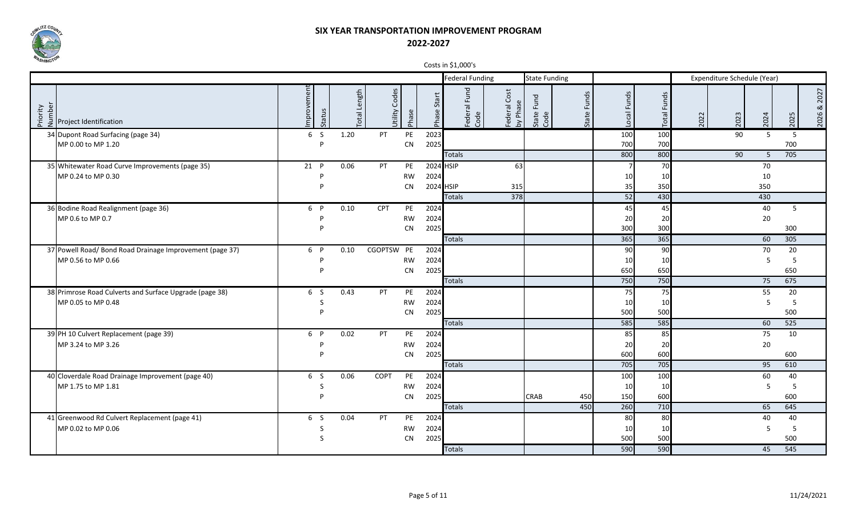

|                                                                                            |                      |                         |                  |           |                | COSIS III PLIUDU S        |                                     |                       |                |                 |                |      |                             |      |      |                |
|--------------------------------------------------------------------------------------------|----------------------|-------------------------|------------------|-----------|----------------|---------------------------|-------------------------------------|-----------------------|----------------|-----------------|----------------|------|-----------------------------|------|------|----------------|
|                                                                                            |                      |                         |                  |           |                | <b>Federal Funding</b>    |                                     | <b>State Funding</b>  |                |                 |                |      | Expenditure Schedule (Year) |      |      |                |
| $\begin{bmatrix} 2 & 2 & 1 \\ 2 & 2 & 1 \\ 2 & 3 & 2 \end{bmatrix}$ Project Identification | mprovement<br>Status | Length<br><b>lepo</b> . | Codes<br>Jtility | Phase     | Start<br>Phase | Fund<br>Federal I<br>Code | Cost<br>Phase<br>ederal<br>$\delta$ | Fund<br>State<br>Code | Funds<br>State | Local Funds     | Funds<br>Total | 2022 | 2023                        | 2024 | 2025 | 2027<br>2026 & |
| 34 Dupont Road Surfacing (page 34)                                                         | 6S                   | 1.20                    | PT.              | PE        | 2023           |                           |                                     |                       |                | 100             | 100            |      | 90                          | 5.   | - 5  |                |
| MP 0.00 to MP 1.20                                                                         | Þ                    |                         |                  | CN        | 2025           |                           |                                     |                       |                | 700             | 700            |      |                             |      | 700  |                |
|                                                                                            |                      |                         |                  |           |                | <b>Totals</b>             |                                     |                       |                | 800             | 800            |      | 90                          | 5    | 705  |                |
| 35 Whitewater Road Curve Improvements (page 35)                                            | 21 P                 | 0.06                    | PT               | PE        |                | 2024 HSIP                 | 63                                  |                       |                | $\overline{7}$  | 70             |      |                             | 70   |      |                |
| MP 0.24 to MP 0.30                                                                         | D                    |                         |                  | <b>RW</b> | 2024           |                           |                                     |                       |                | 10              | 10             |      |                             | 10   |      |                |
|                                                                                            | D                    |                         |                  | <b>CN</b> |                | 2024 HSIP                 | 315                                 |                       |                | 35              | 350            |      |                             | 350  |      |                |
|                                                                                            |                      |                         |                  |           |                | <b>Totals</b>             | 378                                 |                       |                | 52              | 430            |      |                             | 430  |      |                |
| 36 Bodine Road Realignment (page 36)                                                       | 6 P                  | 0.10                    | CPT              | PE        | 2024           |                           |                                     |                       |                | 45              | 45             |      |                             | 40   | 5    |                |
| MP 0.6 to MP 0.7                                                                           | P                    |                         |                  | <b>RW</b> | 2024           |                           |                                     |                       |                | 20              | 20             |      |                             | 20   |      |                |
|                                                                                            | D                    |                         |                  | CN        | 2025           |                           |                                     |                       |                | 300             | 300            |      |                             |      | 300  |                |
|                                                                                            |                      |                         |                  |           |                | <b>Totals</b>             |                                     |                       |                | 365             | 365            |      |                             | 60   | 305  |                |
| 37 Powell Road/ Bond Road Drainage Improvement (page 37)                                   | 6 P                  | 0.10                    | CGOPTSW PE       |           | 2024           |                           |                                     |                       |                | 90 <sup>1</sup> | 90             |      |                             | 70   | 20   |                |
| MP 0.56 to MP 0.66                                                                         | D                    |                         |                  | <b>RW</b> | 2024           |                           |                                     |                       |                | 10              | 10             |      |                             | 5    | -5   |                |
|                                                                                            | D                    |                         |                  | <b>CN</b> | 2025           |                           |                                     |                       |                | 650             | 650            |      |                             |      | 650  |                |
|                                                                                            |                      |                         |                  |           |                | <b>Totals</b>             |                                     |                       |                | 750             | 750            |      |                             | 75   | 675  |                |
| 38 Primrose Road Culverts and Surface Upgrade (page 38)                                    | 6 S                  | 0.43                    | <b>PT</b>        | PE        | 2024           |                           |                                     |                       |                | 75              | 75             |      |                             | 55   | 20   |                |
| MP 0.05 to MP 0.48                                                                         | S                    |                         |                  | <b>RW</b> | 2024           |                           |                                     |                       |                | 10              | 10             |      |                             | 5    | -5   |                |
|                                                                                            | D                    |                         |                  | <b>CN</b> | 2025           |                           |                                     |                       |                | 500             | 500            |      |                             |      | 500  |                |
|                                                                                            |                      |                         |                  |           |                | <b>Totals</b>             |                                     |                       |                | 585             | 585            |      |                             | 60   | 525  |                |
| 39 PH 10 Culvert Replacement (page 39)                                                     | 6 P                  | 0.02                    | <b>PT</b>        | PE        | 2024           |                           |                                     |                       |                | 85              | 85             |      |                             | 75   | 10   |                |
| MP 3.24 to MP 3.26                                                                         | D                    |                         |                  | <b>RW</b> | 2024           |                           |                                     |                       |                | 20              | 20             |      |                             | 20   |      |                |
|                                                                                            | D                    |                         |                  | <b>CN</b> | 2025           |                           |                                     |                       |                | 600             | 600            |      |                             |      | 600  |                |
|                                                                                            |                      |                         |                  |           |                | <b>Totals</b>             |                                     |                       |                | 705             | 705            |      |                             | 95   | 610  |                |
| 40 Cloverdale Road Drainage Improvement (page 40)                                          | 6 S                  | 0.06                    | COPT             | PE        | 2024           |                           |                                     |                       |                | 100             | 100            |      |                             | 60   | 40   |                |
| MP 1.75 to MP 1.81                                                                         | S<br>D               |                         |                  | <b>RW</b> | 2024           |                           |                                     |                       |                | 10              | 10             |      |                             | 5    | 5    |                |
|                                                                                            |                      |                         |                  | <b>CN</b> | 2025           |                           |                                     | CRAB                  | 450            | 150             | 600            |      |                             |      | 600  |                |
|                                                                                            |                      |                         |                  |           |                | <b>Totals</b>             |                                     |                       | 450            | 260             | 710            |      |                             | 65   | 645  |                |
| 41 Greenwood Rd Culvert Replacement (page 41)                                              | 6 S                  | 0.04                    | <b>PT</b>        | PE        | 2024           |                           |                                     |                       |                | 80              | 80             |      |                             | 40   | 40   |                |
| MP 0.02 to MP 0.06                                                                         | S                    |                         |                  | <b>RW</b> | 2024           |                           |                                     |                       |                | 10              | 10             |      |                             | 5    | -5   |                |
|                                                                                            | S                    |                         |                  | <b>CN</b> | 2025           |                           |                                     |                       |                | 500             | 500<br>590     |      |                             |      | 500  |                |
|                                                                                            |                      |                         |                  |           |                | <b>Totals</b>             |                                     |                       |                | 590             |                |      |                             | 45   | 545  |                |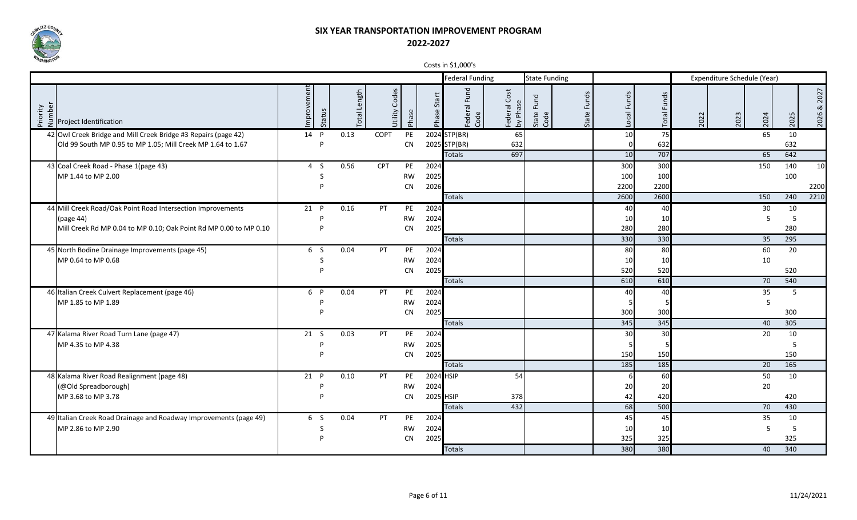

|                    |                                                                   |                      |                 |             |                           |                | $\frac{1}{2}$ $\frac{1}{2}$ $\frac{1}{2}$ $\frac{1}{2}$ $\frac{1}{2}$ $\frac{1}{2}$ $\frac{1}{2}$ $\frac{1}{2}$ $\frac{1}{2}$ $\frac{1}{2}$ $\frac{1}{2}$ $\frac{1}{2}$ $\frac{1}{2}$ $\frac{1}{2}$ $\frac{1}{2}$ $\frac{1}{2}$ $\frac{1}{2}$ $\frac{1}{2}$ $\frac{1}{2}$ $\frac{1}{2}$ $\frac{1}{2}$ $\frac{1}{2}$ |                     |                       |                |                        |                       |      |                             |      |      |                |
|--------------------|-------------------------------------------------------------------|----------------------|-----------------|-------------|---------------------------|----------------|---------------------------------------------------------------------------------------------------------------------------------------------------------------------------------------------------------------------------------------------------------------------------------------------------------------------|---------------------|-----------------------|----------------|------------------------|-----------------------|------|-----------------------------|------|------|----------------|
|                    |                                                                   |                      |                 |             |                           |                | <b>Federal Funding</b>                                                                                                                                                                                                                                                                                              |                     | <b>State Funding</b>  |                |                        |                       |      | Expenditure Schedule (Year) |      |      |                |
| Priority<br>Number | Project Identification                                            | mprovement<br>Status | Length<br>lepo. |             | Codes<br>Jtility<br>Phase | Start<br>Phase | Fund<br>Federal I<br>Code                                                                                                                                                                                                                                                                                           | Cost<br>ederal<br>운 | Fund<br>State<br>Code | Funds<br>State | Local Funds            | Funds<br><b>Total</b> | 2022 | 2023                        | 2024 | 2025 | 2027<br>2026 & |
|                    | 42 Owl Creek Bridge and Mill Creek Bridge #3 Repairs (page 42)    | 14 P                 | 0.13            | <b>COPT</b> | PE                        |                | 2024 STP(BR)                                                                                                                                                                                                                                                                                                        | 65                  |                       |                | 10                     | 75                    |      |                             | 65   | 10   |                |
|                    | Old 99 South MP 0.95 to MP 1.05; Mill Creek MP 1.64 to 1.67       | D                    |                 |             | CN                        |                | 2025 STP(BR)                                                                                                                                                                                                                                                                                                        | 632                 |                       |                | $\mathbf{0}$           | 632                   |      |                             |      | 632  |                |
|                    |                                                                   |                      |                 |             |                           |                | <b>Totals</b>                                                                                                                                                                                                                                                                                                       | 697                 |                       |                | 10                     | 707                   |      |                             | 65   | 642  |                |
|                    | 43 Coal Creek Road - Phase 1(page 43)                             | 4S                   | 0.56            | CPT         | PE                        | 2024           |                                                                                                                                                                                                                                                                                                                     |                     |                       |                | 300                    | 300                   |      |                             | 150  | 140  | 10             |
|                    | MP 1.44 to MP 2.00                                                | S                    |                 |             | <b>RW</b>                 | 2025           |                                                                                                                                                                                                                                                                                                                     |                     |                       |                | 100                    | 100                   |      |                             |      | 100  |                |
|                    |                                                                   |                      |                 |             | <b>CN</b>                 | 2026           |                                                                                                                                                                                                                                                                                                                     |                     |                       |                | 2200                   | 2200                  |      |                             |      |      | 2200           |
|                    |                                                                   |                      |                 |             |                           |                | <b>Totals</b>                                                                                                                                                                                                                                                                                                       |                     |                       |                | 2600                   | 2600                  |      |                             | 150  | 240  | 2210           |
|                    | 44 Mill Creek Road/Oak Point Road Intersection Improvements       | 21 P                 | 0.16            | PT          | PE                        | 2024           |                                                                                                                                                                                                                                                                                                                     |                     |                       |                | 40                     | 40                    |      |                             | 30   | 10   |                |
|                    | (page 44)                                                         |                      |                 |             | <b>RW</b>                 | 2024           |                                                                                                                                                                                                                                                                                                                     |                     |                       |                | 10 <sup>1</sup>        | 10                    |      |                             | 5    | -5   |                |
|                    | Mill Creek Rd MP 0.04 to MP 0.10; Oak Point Rd MP 0.00 to MP 0.10 | P                    |                 |             | CN                        | 2025           |                                                                                                                                                                                                                                                                                                                     |                     |                       |                | 280                    | 280                   |      |                             |      | 280  |                |
|                    |                                                                   |                      |                 |             |                           |                | <b>Totals</b>                                                                                                                                                                                                                                                                                                       |                     |                       |                | 330                    | 330                   |      |                             | 35   | 295  |                |
|                    | 45 North Bodine Drainage Improvements (page 45)                   | 6 S                  | 0.04            | <b>PT</b>   | PE                        | 2024           |                                                                                                                                                                                                                                                                                                                     |                     |                       |                | 80l                    | 80                    |      |                             | 60   | 20   |                |
|                    | MP 0.64 to MP 0.68                                                | S                    |                 |             | <b>RW</b><br>CN           | 2024<br>2025   |                                                                                                                                                                                                                                                                                                                     |                     |                       |                | 10 <sup>1</sup><br>520 | 10<br>520             |      |                             | 10   | 520  |                |
|                    |                                                                   |                      |                 |             |                           |                | <b>Totals</b>                                                                                                                                                                                                                                                                                                       |                     |                       |                | 610                    | 610                   |      |                             | 70   | 540  |                |
|                    | 46 Italian Creek Culvert Replacement (page 46)                    | 6 P                  | 0.04            | <b>PT</b>   | PE                        | 2024           |                                                                                                                                                                                                                                                                                                                     |                     |                       |                | 40                     | 40                    |      |                             | 35   | - 5  |                |
|                    |                                                                   | P                    |                 |             |                           |                |                                                                                                                                                                                                                                                                                                                     |                     |                       |                | 5                      |                       |      |                             | 5    |      |                |
|                    | MP 1.85 to MP 1.89                                                |                      |                 |             | <b>RW</b><br><b>CN</b>    | 2024<br>2025   |                                                                                                                                                                                                                                                                                                                     |                     |                       |                | 300                    | 300                   |      |                             |      | 300  |                |
|                    |                                                                   |                      |                 |             |                           |                | <b>Totals</b>                                                                                                                                                                                                                                                                                                       |                     |                       |                | 345                    | 345                   |      |                             | 40   | 305  |                |
|                    | 47 Kalama River Road Turn Lane (page 47)                          | 21 S                 | 0.03            | <b>PT</b>   | PE                        | 2024           |                                                                                                                                                                                                                                                                                                                     |                     |                       |                | 30                     | 30                    |      |                             | 20   | 10   |                |
|                    | MP 4.35 to MP 4.38                                                | P                    |                 |             | <b>RW</b>                 | 2025           |                                                                                                                                                                                                                                                                                                                     |                     |                       |                |                        |                       |      |                             |      | -5   |                |
|                    |                                                                   | D                    |                 |             | <b>CN</b>                 | 2025           |                                                                                                                                                                                                                                                                                                                     |                     |                       |                | 150                    | 150                   |      |                             |      | 150  |                |
|                    |                                                                   |                      |                 |             |                           |                | <b>Totals</b>                                                                                                                                                                                                                                                                                                       |                     |                       |                | 185                    | 185                   |      |                             | 20   | 165  |                |
|                    | 48 Kalama River Road Realignment (page 48)                        | 21 P                 | 0.10            | <b>PT</b>   | PE                        |                | 2024 HSIP                                                                                                                                                                                                                                                                                                           | 54                  |                       |                | 6                      | 60                    |      |                             | 50   | 10   |                |
|                    | (@Old Spreadborough)                                              |                      |                 |             | <b>RW</b>                 | 2024           |                                                                                                                                                                                                                                                                                                                     |                     |                       |                | 20                     | 20                    |      |                             | 20   |      |                |
|                    | MP 3.68 to MP 3.78                                                | D                    |                 |             | <b>CN</b>                 |                | 2025 HSIP                                                                                                                                                                                                                                                                                                           | 378                 |                       |                | 42                     | 420                   |      |                             |      | 420  |                |
|                    |                                                                   |                      |                 |             |                           |                | <b>Totals</b>                                                                                                                                                                                                                                                                                                       | 432                 |                       |                | 68                     | 500                   |      |                             | 70   | 430  |                |
|                    | 49 Italian Creek Road Drainage and Roadway Improvements (page 49) | 6 S                  | 0.04            | PT          | PE                        | 2024           |                                                                                                                                                                                                                                                                                                                     |                     |                       |                | 45                     | 45                    |      |                             | 35   | 10   |                |
|                    | MP 2.86 to MP 2.90                                                | S                    |                 |             | <b>RW</b>                 | 2024           |                                                                                                                                                                                                                                                                                                                     |                     |                       |                | 10                     | 10                    |      |                             | 5    | - 5  |                |
|                    |                                                                   | D                    |                 |             | <b>CN</b>                 | 2025           |                                                                                                                                                                                                                                                                                                                     |                     |                       |                | 325                    | 325                   |      |                             |      | 325  |                |
|                    |                                                                   |                      |                 |             |                           |                | <b>Totals</b>                                                                                                                                                                                                                                                                                                       |                     |                       |                | 380                    | 380                   |      |                             | 40   | 340  |                |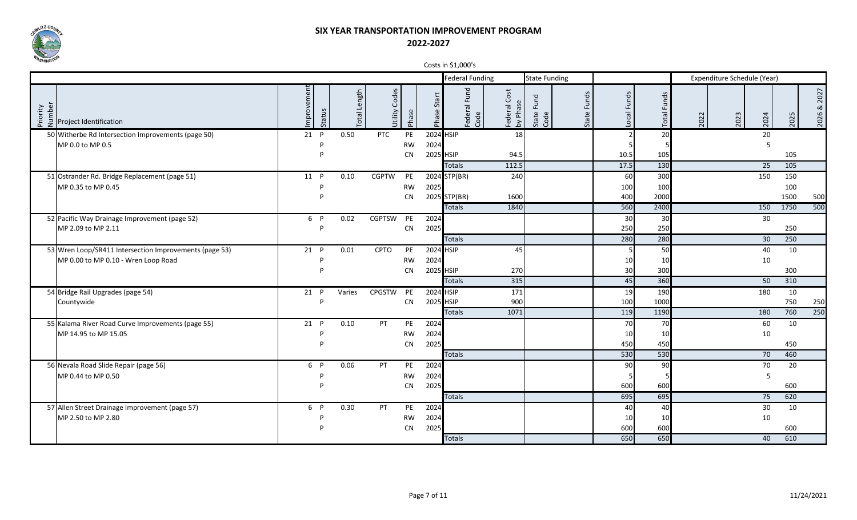

|                                                                         |                      |                             |                  |                 |                | $\frac{1}{2}$ $\frac{1}{2}$ $\frac{1}{2}$ $\frac{1}{2}$ $\frac{1}{2}$ $\frac{1}{2}$ $\frac{1}{2}$ $\frac{1}{2}$ $\frac{1}{2}$ $\frac{1}{2}$ |                             |                       |                |                 |                |      |                             |      |           |                |
|-------------------------------------------------------------------------|----------------------|-----------------------------|------------------|-----------------|----------------|---------------------------------------------------------------------------------------------------------------------------------------------|-----------------------------|-----------------------|----------------|-----------------|----------------|------|-----------------------------|------|-----------|----------------|
|                                                                         |                      |                             |                  |                 |                | <b>Federal Funding</b>                                                                                                                      |                             | <b>State Funding</b>  |                |                 |                |      | Expenditure Schedule (Year) |      |           |                |
| $\frac{1}{2}$ and $\frac{1}{2}$<br>$\frac{1}{2}$ Project Identification | mprovement<br>Status | Length<br>lepo <sub>-</sub> | Codes<br>Jtility | Phase           | Start<br>Phase | Fund<br>Federal I<br>Code                                                                                                                   | Cost<br>Federal<br>by Phase | Fund<br>State<br>Code | Funds<br>State | Local Funds     | Funds<br>Total | 2022 | 2023                        | 2024 | 2025      | 2027<br>2026 & |
| 50 Witherbe Rd Intersection Improvements (page 50)                      | 21 P                 | 0.50                        | PTC              | PE              |                | 2024 HSIP                                                                                                                                   | 18                          |                       |                | $\overline{2}$  | 20             |      |                             | 20   |           |                |
| MP 0.0 to MP 0.5                                                        |                      |                             |                  | <b>RW</b>       | 2024           |                                                                                                                                             |                             |                       |                |                 |                |      |                             | 5    |           |                |
|                                                                         | D                    |                             |                  | <b>CN</b>       |                | 2025 HSIP                                                                                                                                   | 94.5                        |                       |                | 10.5            | 105            |      |                             |      | 105       |                |
|                                                                         |                      |                             |                  |                 |                | <b>Totals</b>                                                                                                                               | 112.5                       |                       |                | 17.5            | 130            |      |                             | 25   | 105       |                |
| 51 Ostrander Rd. Bridge Replacement (page 51)                           | 11 P                 | 0.10                        | <b>CGPTW</b>     | PE              |                | 2024 STP(BR)                                                                                                                                | 240                         |                       |                | 60              | 300            |      |                             | 150  | 150       |                |
| MP 0.35 to MP 0.45                                                      | D                    |                             |                  | <b>RW</b>       | 2025           |                                                                                                                                             |                             |                       |                | 100             | 100            |      |                             |      | 100       |                |
|                                                                         | P                    |                             |                  | <b>CN</b>       |                | 2025 STP(BR)                                                                                                                                | 1600                        |                       |                | 400             | 2000           |      |                             |      | 1500      | 500            |
|                                                                         |                      |                             |                  |                 |                | <b>Totals</b>                                                                                                                               | 1840                        |                       |                | 560             | 2400           |      |                             | 150  | 1750      | 500            |
| 52 Pacific Way Drainage Improvement (page 52)                           | 6 P                  | 0.02                        | <b>CGPTSW</b>    | PE              | 2024           |                                                                                                                                             |                             |                       |                | 30 <sup>l</sup> | 30             |      |                             | 30   |           |                |
| MP 2.09 to MP 2.11                                                      | p                    |                             |                  | ${\sf CN}$      | 2025           |                                                                                                                                             |                             |                       |                | 250             | 250            |      |                             |      | 250       |                |
|                                                                         |                      |                             |                  |                 |                | <b>Totals</b>                                                                                                                               |                             |                       |                | 280             | 280            |      |                             | 30   | 250       |                |
| 53 Wren Loop/SR411 Intersection Improvements (page 53)                  | 21 P                 | 0.01                        | CPTO             | PE              |                | 2024 HSIP                                                                                                                                   | 45                          |                       |                | -5 I            | 50             |      |                             | 40   | 10        |                |
| MP 0.00 to MP 0.10 - Wren Loop Road                                     | D                    |                             |                  | <b>RW</b>       | 2024           |                                                                                                                                             |                             |                       |                | 10<br>30        | 10             |      |                             | 10   |           |                |
|                                                                         |                      |                             |                  | CN              |                | 2025 HSIP                                                                                                                                   | 270<br>315                  |                       |                | 45              | 300<br>360     |      |                             | 50   | 300       |                |
|                                                                         |                      |                             |                  |                 |                | <b>Totals</b>                                                                                                                               |                             |                       |                |                 |                |      |                             |      | 310       |                |
| 54 Bridge Rail Upgrades (page 54)<br>Countywide                         | 21 P<br>Þ            | Varies                      | CPGSTW           | PE<br><b>CN</b> |                | 2024 HSIP<br>2025 HSIP                                                                                                                      | 171<br>900                  |                       |                | 19<br>100       | 190<br>1000    |      |                             | 180  | 10<br>750 | 250            |
|                                                                         |                      |                             |                  |                 |                | <b>Totals</b>                                                                                                                               | 1071                        |                       |                | 119             | 1190           |      |                             | 180  | 760       | 250            |
| 55 Kalama River Road Curve Improvements (page 55)                       | 21 P                 | 0.10                        | <b>PT</b>        | PE              | 2024           |                                                                                                                                             |                             |                       |                | 70              | 70             |      |                             | 60   | 10        |                |
| MP 14.95 to MP 15.05                                                    | D                    |                             |                  | <b>RW</b>       | 2024           |                                                                                                                                             |                             |                       |                | 10              | 10             |      |                             | 10   |           |                |
|                                                                         | D                    |                             |                  | <b>CN</b>       | 2025           |                                                                                                                                             |                             |                       |                | 450             | 450            |      |                             |      | 450       |                |
|                                                                         |                      |                             |                  |                 |                | <b>Totals</b>                                                                                                                               |                             |                       |                | 530             | 530            |      |                             | 70   | 460       |                |
| 56 Nevala Road Slide Repair (page 56)                                   | 6 P                  | 0.06                        | PT               | PE              | 2024           |                                                                                                                                             |                             |                       |                | 90              | 90             |      |                             | 70   | 20        |                |
| MP 0.44 to MP 0.50                                                      | p                    |                             |                  | <b>RW</b>       | 2024           |                                                                                                                                             |                             |                       |                |                 |                |      |                             | 5    |           |                |
|                                                                         | D                    |                             |                  | <b>CN</b>       | 2025           |                                                                                                                                             |                             |                       |                | 600             | 600            |      |                             |      | 600       |                |
|                                                                         |                      |                             |                  |                 |                | <b>Totals</b>                                                                                                                               |                             |                       |                | 695             | 695            |      |                             | 75   | 620       |                |
| 57 Allen Street Drainage Improvement (page 57)                          | 6 P                  | 0.30                        | <b>PT</b>        | PE              | 2024           |                                                                                                                                             |                             |                       |                | 40              | 40             |      |                             | 30   | 10        |                |
| MP 2.50 to MP 2.80                                                      |                      |                             |                  | <b>RW</b>       | 2024           |                                                                                                                                             |                             |                       |                | 10 <sup>1</sup> | 10             |      |                             | 10   |           |                |
|                                                                         |                      |                             |                  | <b>CN</b>       | 2025           |                                                                                                                                             |                             |                       |                | 600             | 600            |      |                             |      | 600       |                |
|                                                                         |                      |                             |                  |                 |                | <b>Totals</b>                                                                                                                               |                             |                       |                | 650             | 650            |      |                             | 40   | 610       |                |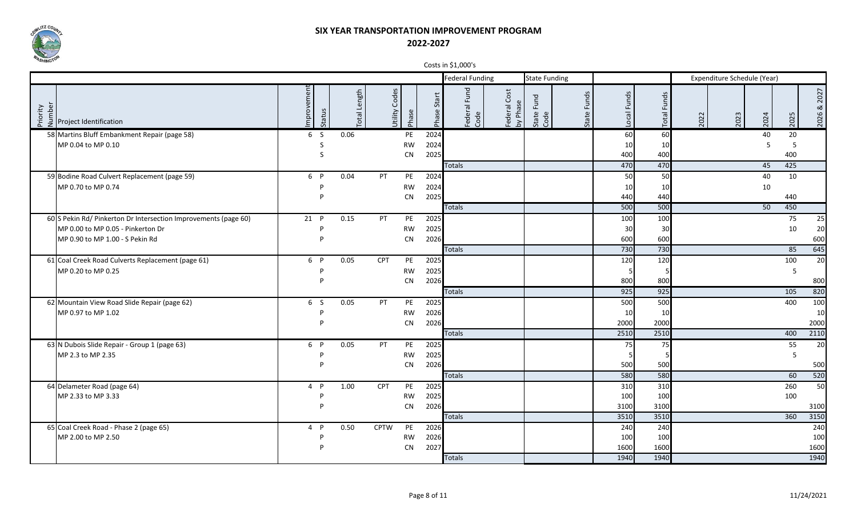

|                                                                                                          |                      |             |                  |                        |                       | COSO III PL, OOU S                                  |                                         |                 |                       |                             |      |         |             |
|----------------------------------------------------------------------------------------------------------|----------------------|-------------|------------------|------------------------|-----------------------|-----------------------------------------------------|-----------------------------------------|-----------------|-----------------------|-----------------------------|------|---------|-------------|
|                                                                                                          |                      |             |                  |                        |                       | <b>Federal Funding</b>                              | <b>State Funding</b>                    |                 |                       | Expenditure Schedule (Year) |      |         |             |
| $\begin{array}{c}\n\sum_{i=1}^{n} \sum_{i=1}^{n} \frac{1}{2} \text{Project Identification}\n\end{array}$ | mprovement<br>Status | otal Length | Codes<br>Jtility | Phase                  | <b>Start</b><br>Phase | Federal Fund<br>Code<br>Cost<br>Federal<br>by Phase | Funds<br>Fund<br>State<br>Code<br>State | Local Funds     | Funds<br><b>Total</b> | 2023<br>2022                | 2024 | 2025    | 2026 & 2027 |
| 58 Martins Bluff Embankment Repair (page 58)                                                             | 6 S                  | 0.06        |                  | PE                     | 2024                  |                                                     |                                         | 60              | 60                    |                             | 40   | 20      |             |
| MP 0.04 to MP 0.10                                                                                       | S                    |             |                  | <b>RW</b>              | 2024                  |                                                     |                                         | 10 <sup>1</sup> | 10                    |                             | 5    | -5      |             |
|                                                                                                          | S                    |             |                  | <b>CN</b>              | 2025                  |                                                     |                                         | 400             | 400                   |                             |      | 400     |             |
|                                                                                                          |                      |             |                  |                        |                       | <b>Totals</b>                                       |                                         | 470             | 470                   |                             | 45   | 425     |             |
| 59 Bodine Road Culvert Replacement (page 59)                                                             | 6 P                  | 0.04        | PT               | PE                     | 2024                  |                                                     |                                         | 50              | 50                    |                             | 40   | 10      |             |
| MP 0.70 to MP 0.74                                                                                       | P<br>D               |             |                  | <b>RW</b><br><b>CN</b> | 2024<br>2025          |                                                     |                                         | 10<br>440       | 10<br>440             |                             | 10   | 440     |             |
|                                                                                                          |                      |             |                  |                        |                       | <b>Totals</b>                                       |                                         | 500             | 500                   |                             | 50   | 450     |             |
| 60 S Pekin Rd/ Pinkerton Dr Intersection Improvements (page 60)                                          | 21 P                 | 0.15        | PT               | PE                     | 2025                  |                                                     |                                         | 100             | 100                   |                             |      | 75      | 25          |
| MP 0.00 to MP 0.05 - Pinkerton Dr                                                                        | D                    |             |                  | <b>RW</b>              | 2025                  |                                                     |                                         | 30              | 30                    |                             |      | 10      | 20          |
| MP 0.90 to MP 1.00 - S Pekin Rd                                                                          | P                    |             |                  | <b>CN</b>              | 2026                  |                                                     |                                         | 600             | 600                   |                             |      |         | 600         |
|                                                                                                          |                      |             |                  |                        |                       | <b>Totals</b>                                       |                                         | 730             | 730                   |                             |      | 85      | 645         |
| 61 Coal Creek Road Culverts Replacement (page 61)                                                        | 6 P                  | 0.05        | <b>CPT</b>       | PE                     | 2025                  |                                                     |                                         | 120             | 120                   |                             |      | 100     | 20          |
| MP 0.20 to MP 0.25                                                                                       | p                    |             |                  | <b>RW</b>              | 2025                  |                                                     |                                         |                 |                       |                             |      | 5       |             |
|                                                                                                          | D                    |             |                  | <b>CN</b>              | 2026                  |                                                     |                                         | 800             | 800                   |                             |      |         | 800         |
|                                                                                                          |                      |             |                  |                        |                       | <b>Totals</b>                                       |                                         | 925             | 925                   |                             |      | 105     | 820         |
| 62 Mountain View Road Slide Repair (page 62)                                                             | 6 <sup>5</sup>       | 0.05        | PT               | PE                     | 2025                  |                                                     |                                         | 500             | 500                   |                             |      | 400     | 100         |
| MP 0.97 to MP 1.02                                                                                       | D                    |             |                  | <b>RW</b>              | 2026                  |                                                     |                                         | 10              | 10                    |                             |      |         | 10          |
|                                                                                                          | P                    |             |                  | <b>CN</b>              | 2026                  |                                                     |                                         | 2000            | 2000                  |                             |      |         | 2000        |
|                                                                                                          |                      |             |                  |                        |                       | <b>Totals</b>                                       |                                         | 2510            | 2510                  |                             |      | 400     | 2110        |
| 63 N Dubois Slide Repair - Group 1 (page 63)<br>MP 2.3 to MP 2.35                                        | 6 P<br>P             | 0.05        | PT               | PE<br><b>RW</b>        | 2025<br>2025          |                                                     |                                         | 75              | 75                    |                             |      | 55<br>5 | 20          |
|                                                                                                          | D                    |             |                  | CN                     | 2026                  |                                                     |                                         | 500             | 500                   |                             |      |         | 500         |
|                                                                                                          |                      |             |                  |                        |                       | <b>Totals</b>                                       |                                         | 580             | 580                   |                             |      | 60      | 520         |
| 64 Delameter Road (page 64)                                                                              | 4 P                  | 1.00        | <b>CPT</b>       | PE                     | 2025                  |                                                     |                                         | 310             | 310                   |                             |      | 260     | 50          |
| MP 2.33 to MP 3.33                                                                                       | P                    |             |                  | <b>RW</b>              | 2025                  |                                                     |                                         | 100             | 100                   |                             |      | 100     |             |
|                                                                                                          | P                    |             |                  | <b>CN</b>              | 2026                  |                                                     |                                         | 3100            | 3100                  |                             |      |         | 3100        |
|                                                                                                          |                      |             |                  |                        |                       | <b>Totals</b>                                       |                                         | 3510            | 3510                  |                             |      | 360     | 3150        |
| 65 Coal Creek Road - Phase 2 (page 65)                                                                   | 4 P                  | 0.50        | <b>CPTW</b>      | PE                     | 2026                  |                                                     |                                         | 240             | 240                   |                             |      |         | 240         |
| MP 2.00 to MP 2.50                                                                                       | P                    |             |                  | <b>RW</b>              | 2026                  |                                                     |                                         | 100             | 100                   |                             |      |         | 100         |
|                                                                                                          | Þ                    |             |                  | CN                     | 2027                  |                                                     |                                         | 1600            | 1600                  |                             |      |         | 1600        |
|                                                                                                          |                      |             |                  |                        |                       | <b>Totals</b>                                       |                                         | 1940            | 1940                  |                             |      |         | 1940        |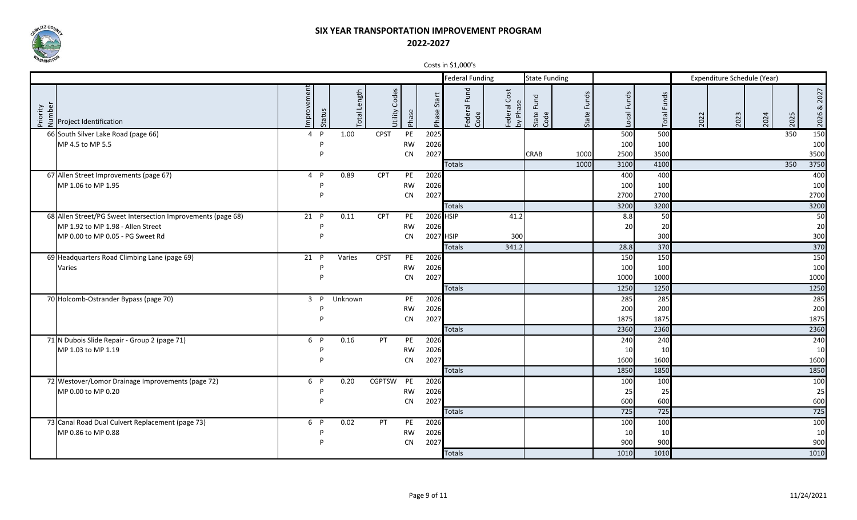

|                                                                                            |                      |                         |                  |                 |                | COSIS III PLIUDU S     |                                |                       |                |             |                |                             |      |      |      |             |
|--------------------------------------------------------------------------------------------|----------------------|-------------------------|------------------|-----------------|----------------|------------------------|--------------------------------|-----------------------|----------------|-------------|----------------|-----------------------------|------|------|------|-------------|
|                                                                                            |                      |                         |                  |                 |                | <b>Federal Funding</b> |                                | <b>State Funding</b>  |                |             |                | Expenditure Schedule (Year) |      |      |      |             |
| $\begin{bmatrix} 2 & 2 & 1 \\ 2 & 2 & 1 \\ 2 & 3 & 2 \end{bmatrix}$ Project Identification | mprovement<br>Status | Length<br><b>lepo</b> . | Codes<br>Jtility | Phase           | Start<br>Phase | Federal Fund<br>Code   | Cost<br>Federal<br>Sp<br>hd Aq | Fund<br>State<br>Code | Funds<br>State | Local Funds | Funds<br>Total | 2022                        | 2023 | 2024 | 2025 | 2026 & 2027 |
| 66 South Silver Lake Road (page 66)                                                        | $4$ P                | 1.00                    | <b>CPST</b>      | PE              | 2025           |                        |                                |                       |                | 500         | 500            |                             |      |      | 350  | 150         |
| MP 4.5 to MP 5.5                                                                           | D                    |                         |                  | <b>RW</b>       | 2026           |                        |                                |                       |                | 100         | 100            |                             |      |      |      | 100         |
|                                                                                            | D                    |                         |                  | <b>CN</b>       | 2027           |                        |                                | CRAB                  | 1000           | 2500        | 3500           |                             |      |      |      | 3500        |
|                                                                                            |                      |                         |                  |                 |                | <b>Totals</b>          |                                |                       | 1000           | 3100        | 4100           |                             |      |      | 350  | 3750        |
| 67 Allen Street Improvements (page 67)                                                     | $4$ P                | 0.89                    | <b>CPT</b>       | PE              | 2026           |                        |                                |                       |                | 400         | 400            |                             |      |      |      | 400         |
| MP 1.06 to MP 1.95                                                                         |                      |                         |                  | <b>RW</b>       | 2026           |                        |                                |                       |                | 100         | 100            |                             |      |      |      | 100         |
|                                                                                            |                      |                         |                  | CN              | 2027           |                        |                                |                       |                | 2700        | 2700           |                             |      |      |      | 2700        |
|                                                                                            |                      |                         |                  |                 |                | <b>Totals</b>          |                                |                       |                | 3200        | 3200           |                             |      |      |      | 3200        |
| 68 Allen Street/PG Sweet Intersection Improvements (page 68)                               | 21 P                 | 0.11                    | <b>CPT</b>       | PE              |                | 2026 HSIP              | 41.2                           |                       |                | 8.8         | 50             |                             |      |      |      | 50          |
| MP 1.92 to MP 1.98 - Allen Street                                                          |                      |                         |                  | <b>RW</b>       | 2026           |                        |                                |                       |                | 20          | 20             |                             |      |      |      | 20          |
| MP 0.00 to MP 0.05 - PG Sweet Rd                                                           | D                    |                         |                  | <b>CN</b>       |                | 2027 HSIP              | 300                            |                       |                |             | 300            |                             |      |      |      | 300         |
|                                                                                            |                      |                         |                  |                 |                | <b>Totals</b>          | 341.2                          |                       |                | 28.8        | 370            |                             |      |      |      | 370         |
| 69 Headquarters Road Climbing Lane (page 69)                                               | $21$ P               | Varies                  | <b>CPST</b>      | PE              | 2026           |                        |                                |                       |                | 150         | 150            |                             |      |      |      | 150         |
| Varies                                                                                     |                      |                         |                  | <b>RW</b>       | 2026           |                        |                                |                       |                | 100         | 100            |                             |      |      |      | 100         |
|                                                                                            |                      |                         |                  | CN              | 2027           |                        |                                |                       |                | 1000        | 1000           |                             |      |      |      | 1000        |
|                                                                                            |                      |                         |                  |                 |                | <b>Totals</b>          |                                |                       |                | 1250        | 1250           |                             |      |      |      | 1250        |
| 70 Holcomb-Ostrander Bypass (page 70)                                                      | $3$ $P$              | Unknown                 |                  | PE              | 2026           |                        |                                |                       |                | 285         | 285            |                             |      |      |      | 285         |
|                                                                                            | D                    |                         |                  | <b>RW</b>       | 2026           |                        |                                |                       |                | 200         | 200            |                             |      |      |      | 200         |
|                                                                                            |                      |                         |                  | <b>CN</b>       | 2027           |                        |                                |                       |                | 1875        | 1875           |                             |      |      |      | 1875        |
|                                                                                            |                      |                         |                  |                 |                | <b>Totals</b>          |                                |                       |                | 2360        | 2360           |                             |      |      |      | 2360        |
| 71 N Dubois Slide Repair - Group 2 (page 71)                                               | 6 P<br>P             | 0.16                    | PT               | PE              | 2026           |                        |                                |                       |                | 240         | 240            |                             |      |      |      | 240         |
| MP 1.03 to MP 1.19                                                                         | D                    |                         |                  | <b>RW</b><br>CN | 2026<br>2027   |                        |                                |                       |                | 10<br>1600  | 10<br>1600     |                             |      |      |      | 10<br>1600  |
|                                                                                            |                      |                         |                  |                 |                | <b>Totals</b>          |                                |                       |                | 1850        | 1850           |                             |      |      |      |             |
|                                                                                            |                      |                         |                  |                 |                |                        |                                |                       |                |             |                |                             |      |      |      | 1850        |
| 72 Westover/Lomor Drainage Improvements (page 72)                                          | 6 P<br>P             | 0.20                    | CGPTSW PE        |                 | 2026           |                        |                                |                       |                | 100         | 100            |                             |      |      |      | 100         |
| MP 0.00 to MP 0.20                                                                         | D                    |                         |                  | <b>RW</b><br>CN | 2026<br>2027   |                        |                                |                       |                | 25<br>600   | 25<br>600      |                             |      |      |      | 25<br>600   |
|                                                                                            |                      |                         |                  |                 |                | <b>Totals</b>          |                                |                       |                | 725         | 725            |                             |      |      |      | 725         |
| 73 Canal Road Dual Culvert Replacement (page 73)                                           | 6 P                  | 0.02                    | PT               | PE              | 2026           |                        |                                |                       |                | 100         | 100            |                             |      |      |      | 100         |
| MP 0.86 to MP 0.88                                                                         |                      |                         |                  | <b>RW</b>       | 2026           |                        |                                |                       |                | 10          | 10             |                             |      |      |      | 10          |
|                                                                                            |                      |                         |                  | <b>CN</b>       | 2027           |                        |                                |                       |                | 900         | 900            |                             |      |      |      | 900         |
|                                                                                            |                      |                         |                  |                 |                | <b>Totals</b>          |                                |                       |                | 1010        | 1010           |                             |      |      |      | 1010        |
|                                                                                            |                      |                         |                  |                 |                |                        |                                |                       |                |             |                |                             |      |      |      |             |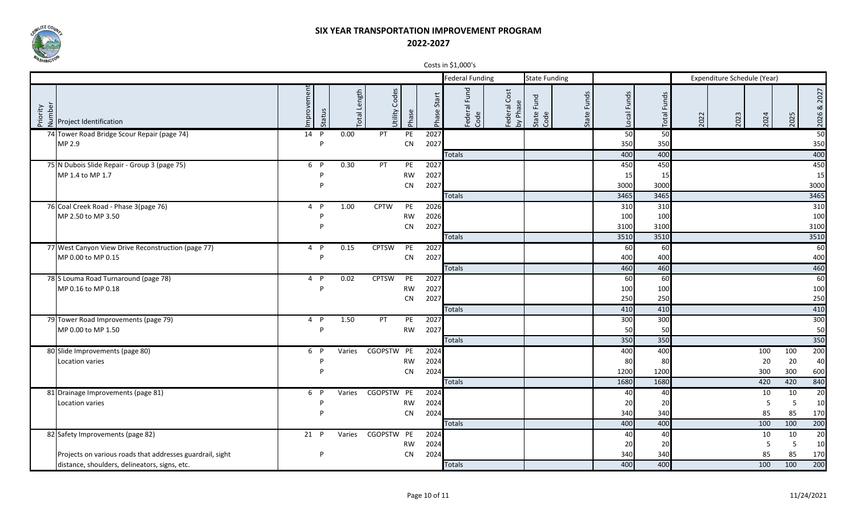

|                                                           |                       |                             |                  |                 |                | COSO III VI,UUU S      |                            |                       |                |             |             |      |                             |           |           |                |
|-----------------------------------------------------------|-----------------------|-----------------------------|------------------|-----------------|----------------|------------------------|----------------------------|-----------------------|----------------|-------------|-------------|------|-----------------------------|-----------|-----------|----------------|
|                                                           |                       |                             |                  |                 |                | <b>Federal Funding</b> |                            | <b>State Funding</b>  |                |             |             |      | Expenditure Schedule (Year) |           |           |                |
| Number<br>Priority<br>Project Identification              | Improvement<br>Status | Length<br>lepo <sub>-</sub> | Codes<br>Utility | Phase           | Start<br>Phase | Federal Fund<br>Code   | Cost<br>Federal<br>by Phas | Fund<br>State<br>Code | Funds<br>State | Local Funds | Total Funds | 2022 | 2023                        | 2024      | 2025      | 2027<br>2026 & |
| 74 Tower Road Bridge Scour Repair (page 74)               | 14 P                  | 0.00                        | PT               | PE              | 2027           |                        |                            |                       |                | 50          | 50          |      |                             |           |           | 50             |
| MP 2.9                                                    | P                     |                             |                  | CN              | 2027           |                        |                            |                       |                | 350         | 350         |      |                             |           |           | 350            |
|                                                           |                       |                             |                  |                 |                | <b>Totals</b>          |                            |                       |                | 400         | 400         |      |                             |           |           | 400            |
| 75 N Dubois Slide Repair - Group 3 (page 75)              | 6 P                   | 0.30                        | PT               | PE              | 2027           |                        |                            |                       |                | 450         | 450         |      |                             |           |           | 450            |
| MP 1.4 to MP 1.7                                          |                       |                             |                  | <b>RW</b>       | 2027           |                        |                            |                       |                | 15          | 15          |      |                             |           |           | 15             |
|                                                           |                       |                             |                  | CN              | 2027           |                        |                            |                       |                | 3000        | 3000        |      |                             |           |           | 3000           |
|                                                           |                       |                             |                  |                 |                | <b>Totals</b>          |                            |                       |                | 3465        | 3465        |      |                             |           |           | 3465           |
| 76 Coal Creek Road - Phase 3(page 76)                     | 4 P                   | 1.00                        | <b>CPTW</b>      | PE              | 2026           |                        |                            |                       |                | 310         | 310         |      |                             |           |           | 310            |
| MP 2.50 to MP 3.50                                        | D                     |                             |                  | <b>RW</b>       | 2026           |                        |                            |                       |                | 100         | 100         |      |                             |           |           | 100            |
|                                                           | D                     |                             |                  | CN              | 2027           |                        |                            |                       |                | 3100        | 3100        |      |                             |           |           | 3100           |
|                                                           |                       |                             |                  |                 |                | <b>Totals</b>          |                            |                       |                | 3510        | 3510        |      |                             |           |           | 3510           |
| 77 West Canyon View Drive Reconstruction (page 77)        | $4$ P                 | 0.15                        | <b>CPTSW</b>     | PE              | 2027           |                        |                            |                       |                | 60          | 60          |      |                             |           |           | 60             |
| MP 0.00 to MP 0.15                                        | Þ                     |                             |                  | CN              | 2027           |                        |                            |                       |                | 400         | 400         |      |                             |           |           | 400            |
|                                                           |                       |                             |                  |                 |                | <b>Totals</b>          |                            |                       |                | 460         | 460         |      |                             |           |           | 460            |
| 78 S Louma Road Turnaround (page 78)                      | 4 P                   | 0.02                        | <b>CPTSW</b>     | PE              | 2027           |                        |                            |                       |                | 60          | 60          |      |                             |           |           | 60             |
| MP 0.16 to MP 0.18                                        | Þ                     |                             |                  | <b>RW</b>       | 2027           |                        |                            |                       |                | 100         | 100         |      |                             |           |           | 100            |
|                                                           |                       |                             |                  | <b>CN</b>       | 2027           |                        |                            |                       |                | 250         | 250         |      |                             |           |           | 250            |
|                                                           |                       |                             |                  |                 |                | Totals                 |                            |                       |                | 410         | 410         |      |                             |           |           | 410            |
| 79 Tower Road Improvements (page 79)                      | 4 P<br>Þ              | 1.50                        | PT               | PE              | 2027           |                        |                            |                       |                | 300         | 300         |      |                             |           |           | 300            |
| MP 0.00 to MP 1.50                                        |                       |                             |                  | <b>RW</b>       | 2027           |                        |                            |                       |                | 50<br>350   | 50<br>350   |      |                             |           |           | 50<br>350      |
|                                                           | 6 P                   |                             | CGOPSTW PE       |                 | 2024           | <b>Totals</b>          |                            |                       |                | 400         | 400         |      |                             |           |           | 200            |
| 80 Slide Improvements (page 80)                           |                       | Varies                      |                  |                 |                |                        |                            |                       |                |             |             |      |                             | 100<br>20 | 100<br>20 | 40             |
| Location varies                                           |                       |                             |                  | <b>RW</b><br>CN | 2024<br>2024   |                        |                            |                       |                | 80<br>1200  | 80<br>1200  |      |                             | 300       | 300       | 600            |
|                                                           |                       |                             |                  |                 |                | <b>Totals</b>          |                            |                       |                | 1680        | 1680        |      |                             | 420       | 420       | 840            |
| 81 Drainage Improvements (page 81)                        | 6 P                   | Varies                      | CGOPSTW PE       |                 | 2024           |                        |                            |                       |                | 40          | 40          |      |                             | 10        | 10        | 20             |
| Location varies                                           |                       |                             |                  | RW              | 2024           |                        |                            |                       |                | 20          | 20          |      |                             | 5         | 5         | 10             |
|                                                           |                       |                             |                  | CN              | 2024           |                        |                            |                       |                | 340         | 340         |      |                             | 85        | 85        | 170            |
|                                                           |                       |                             |                  |                 |                | <b>Totals</b>          |                            |                       |                | 400         | 400         |      |                             | 100       | 100       | 200            |
| 82 Safety Improvements (page 82)                          | $21$ P                | Varies                      | CGOPSTW PE       |                 | 2024           |                        |                            |                       |                | 40          | 40          |      |                             | 10        | 10        | 20             |
|                                                           |                       |                             |                  | RW              | 2024           |                        |                            |                       |                | 20          | 20          |      |                             | 5         | 5         | 10             |
| Projects on various roads that addresses guardrail, sight | P                     |                             |                  | CN              | 2024           |                        |                            |                       |                | 340         | 340         |      |                             | 85        | 85        | 170            |
| distance, shoulders, delineators, signs, etc.             |                       |                             |                  |                 |                | <b>Totals</b>          |                            |                       |                | 400         | 400         |      |                             | 100       | 100       | 200            |